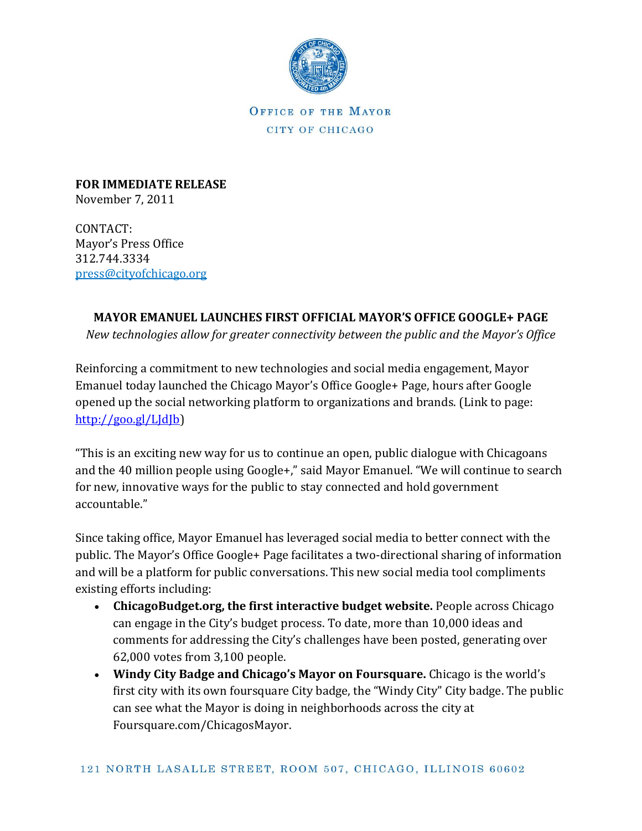

OFFICE OF THE MAYOR CITY OF CHICAGO

**FOR IMMEDIATE RELEASE** November 7, 2011

CONTACT: Mayor's Press Office 312.744.3334 [press@cityofchicago.org](mailto:press@cityofchicago.org)

## **MAYOR EMANUEL LAUNCHES FIRST OFFICIAL MAYOR'S OFFICE GOOGLE+ PAGE**

*New technologies allow for greater connectivity between the public and the Mayor's Office*

Reinforcing a commitment to new technologies and social media engagement, Mayor Emanuel today launched the Chicago Mayor's Office Google+ Page, hours after Google opened up the social networking platform to organizations and brands. (Link to page: http:/[/goo.gl/LJdJb\)](https://connect.cityofchicago.org/owa/,DanaInfo=basicauth.cityofchicago.local,SSL+redir.aspx?C=0c57e793041742a9b37d6311e20ae2f3&URL=http%3a%2f%2fgoo.gl%2fLJdJb)

"This is an exciting new way for us to continue an open, public dialogue with Chicagoans and the 40 million people using Google+," said Mayor Emanuel. "We will continue to search for new, innovative ways for the public to stay connected and hold government accountable."

Since taking office, Mayor Emanuel has leveraged social media to better connect with the public. The Mayor's Office Google+ Page facilitates a two-directional sharing of information and will be a platform for public conversations. This new social media tool compliments existing efforts including:

- **ChicagoBudget.org, the first interactive budget website.** People across Chicago can engage in the City's budget process. To date, more than 10,000 ideas and comments for addressing the City's challenges have been posted, generating over 62,000 votes from 3,100 people.
- **Windy City Badge and Chicago's Mayor on Foursquare.** Chicago is the world's first city with its own foursquare City badge, the "Windy City" City badge. The public can see what the Mayor is doing in neighborhoods across the city at Foursquare.com/ChicagosMayor.